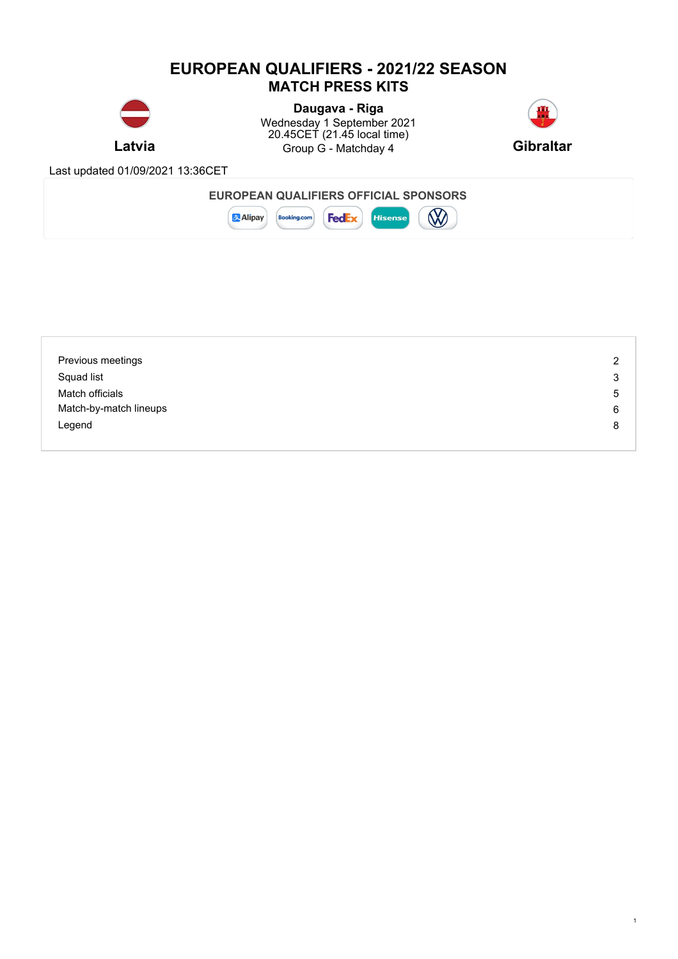### **EUROPEAN QUALIFIERS - 2021/22 SEASON MATCH PRESS KITS**



**Latvia Gibraltar Gibraltar** Gibraltar **Gibraltar Gibraltar Gibraltar Daugava - Riga** Wednesday 1 September 2021 20.45CET (21.45 local time)



1

Last updated 01/09/2021 13:36CET



 $\infty$ 



| Previous meetings      | 2 |
|------------------------|---|
| Squad list             | 3 |
| Match officials        | 5 |
| Match-by-match lineups | 6 |
| Legend                 | 8 |
|                        |   |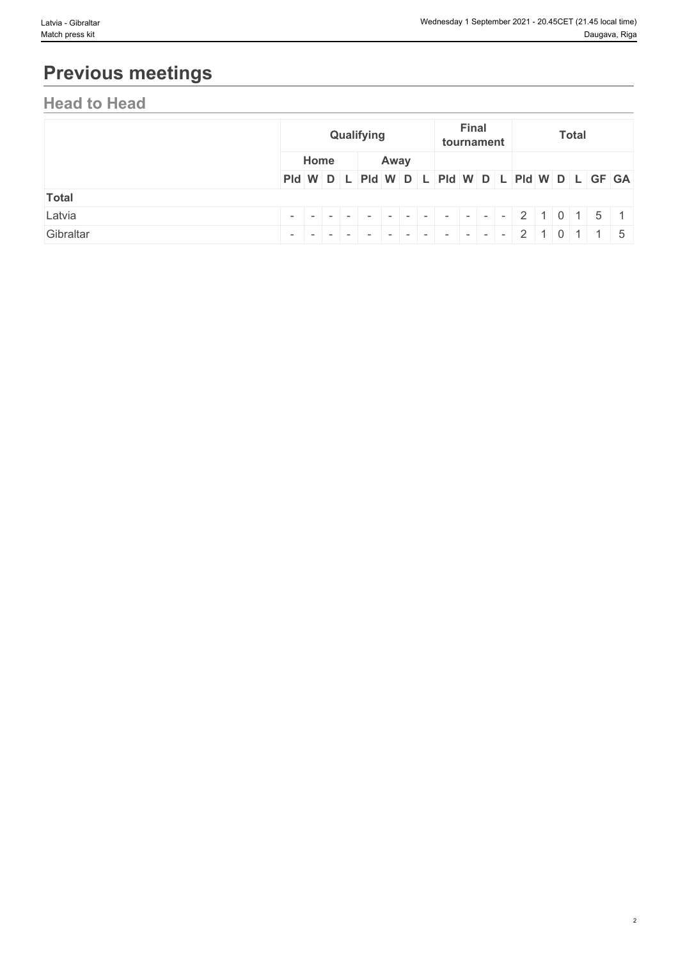# **Previous meetings**

## **Head to Head**

|              |                                               | Qualifying |  |  |      |  |  |  | <b>Final</b> | tournament |  | <b>Total</b> |  |  |  |  |  |
|--------------|-----------------------------------------------|------------|--|--|------|--|--|--|--------------|------------|--|--------------|--|--|--|--|--|
|              |                                               | Home       |  |  | Away |  |  |  |              |            |  |              |  |  |  |  |  |
|              | PId W D L PId W D L PId W D L PId W D L GF GA |            |  |  |      |  |  |  |              |            |  |              |  |  |  |  |  |
| <b>Total</b> |                                               |            |  |  |      |  |  |  |              |            |  |              |  |  |  |  |  |
| Latvia       |                                               |            |  |  |      |  |  |  |              |            |  |              |  |  |  |  |  |
| Gibraltar    |                                               |            |  |  |      |  |  |  |              |            |  |              |  |  |  |  |  |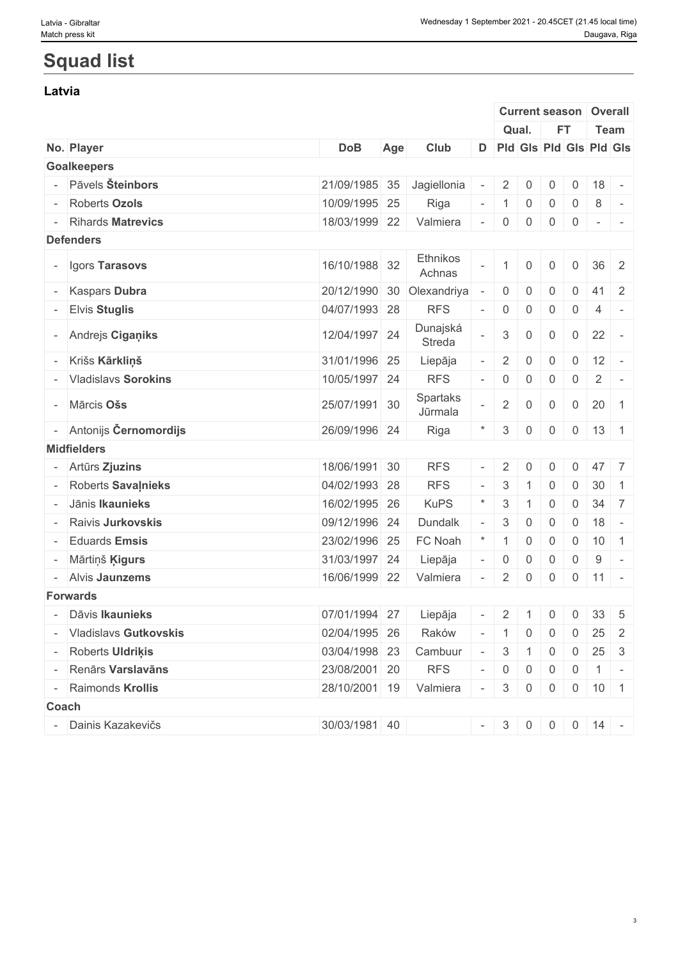# **Squad list**

#### **Latvia**

|                         |               |     |                     |                          |                     |                | <b>Current season</b> |                | Overall                                                          |                |
|-------------------------|---------------|-----|---------------------|--------------------------|---------------------|----------------|-----------------------|----------------|------------------------------------------------------------------|----------------|
|                         |               |     |                     |                          |                     | Qual.          | <b>FT</b>             |                | Team                                                             |                |
| No. Player              | <b>DoB</b>    | Age | Club                |                          |                     |                |                       |                | D Pld Gls Pld Gls Pld Gls                                        |                |
| <b>Goalkeepers</b>      |               |     |                     |                          |                     |                |                       |                |                                                                  |                |
| - Pāvels Šteinbors      | 21/09/1985 35 |     | Jagiellonia         |                          | $\overline{2}$      | $\overline{0}$ | $\overline{0}$        | $\overline{0}$ | 18                                                               | $\sim$         |
| <b>Roberts Ozols</b>    | 10/09/1995 25 |     | Riga                |                          | $\vert$ 1           | $\overline{0}$ | $\overline{0}$        | $\overline{0}$ | 8                                                                | $\sim$         |
| - Rihards Matrevics     | 18/03/1999 22 |     | Valmiera            | $\overline{\phantom{a}}$ | $\overline{0}$      | $\overline{0}$ | $\overline{0}$        | $\mathbf 0$    | $\mathcal{L} = \{ \mathcal{L} \mid \mathcal{L} = \mathcal{L} \}$ |                |
| <b>Defenders</b>        |               |     |                     |                          |                     |                |                       |                |                                                                  |                |
| - Igors Tarasovs        | 16/10/1988 32 |     | Ethnikos<br>Achnas  |                          | $\mathbf{1}$        | $\mathbf 0$    | $\overline{0}$        | $\overline{0}$ | $36 \quad 2$                                                     |                |
| <b>Kaspars Dubra</b>    | 20/12/1990 30 |     | Olexandriya         |                          | $\overline{0}$      | $\overline{0}$ | 0                     | $\overline{0}$ | $41 \quad 2$                                                     |                |
| <b>Elvis Stuglis</b>    | 04/07/1993 28 |     | <b>RFS</b>          |                          | $\overline{0}$      | $\overline{0}$ | $\mathsf{O}$          | $\mathsf{O}$   | $\overline{4}$                                                   |                |
| - Andrejs Ciganiks      | 12/04/1997 24 |     | Dunajská<br>Streda  |                          | $3\phantom{.0}$     | $\mathbf 0$    | $\overline{0}$        | $\overline{0}$ | 22                                                               | $\sim$         |
| Krišs Kārkliņš          | 31/01/1996 25 |     | Liepāja             |                          | $\overline{2}$      | $\overline{0}$ | $\mathsf{O}$          | $\overline{0}$ | 12                                                               | $\sim$         |
| - Vladislavs Sorokins   | 10/05/1997 24 |     | <b>RFS</b>          |                          | $\overline{0}$      | $\overline{0}$ | $\overline{0}$        | $\overline{0}$ | $\overline{2}$                                                   | $\sim$         |
| - Mārcis Ošs            | 25/07/1991 30 |     | Spartaks<br>Jūrmala |                          | $2^{\circ}$         | $\overline{0}$ | $\overline{0}$        |                | $0 \mid 20$                                                      | $\overline{1}$ |
| - Antonijs Černomordijs | 26/09/1996 24 |     | Riga                |                          | 3                   | $\overline{0}$ | $\overline{0}$        |                | $0 \mid 13 \mid 1$                                               |                |
| <b>Midfielders</b>      |               |     |                     |                          |                     |                |                       |                |                                                                  |                |
| - Artūrs Zjuzins        | 18/06/1991 30 |     | <b>RFS</b>          |                          | 2                   | $\mathbf{0}$   | 0                     | $\mathbf 0$    | 47 7                                                             |                |
| Roberts Savainieks      | 04/02/1993 28 |     | <b>RFS</b>          |                          | 3                   |                | 0                     | $\overline{0}$ | 30                                                               | $\overline{1}$ |
| Jānis Ikaunieks         | 16/02/1995 26 |     | <b>KuPS</b>         |                          | 3                   | $\overline{1}$ | $\mathbf 0$           | $\overline{0}$ | $34 \overline{\smash{\big)}\ 7}$                                 |                |
| Raivis Jurkovskis       | 09/12/1996 24 |     | Dundalk             |                          | 3                   | $\overline{0}$ | $\mathbf{0}$          | $\overline{0}$ | 18                                                               | $\sim$         |
| <b>Eduards Emsis</b>    | 23/02/1996 25 |     | FC Noah             |                          | $\mathbf{1}$        | $\overline{0}$ | $\overline{0}$        | $\overline{0}$ | $10$ 1                                                           |                |
| Mārtiņš <b>Ķigurs</b>   | 31/03/1997 24 |     | Liepāja             |                          | $\mathsf{O}\xspace$ | $\overline{0}$ | 0                     | $\overline{0}$ | 9                                                                | $\sim$         |
| - Alvis Jaunzems        | 16/06/1999 22 |     | Valmiera            |                          | $2^{\circ}$         | $\overline{0}$ | $\overline{0}$        |                | $0 \mid 11 \mid -$                                               |                |
| <b>Forwards</b>         |               |     |                     |                          |                     |                |                       |                |                                                                  |                |
| - Dāvis Ikaunieks       |               |     |                     |                          |                     |                |                       |                | $-$ 2 1 0 0 33 5                                                 |                |
|                         | 07/01/1994 27 |     | Liepāja             |                          |                     |                |                       |                |                                                                  |                |
| - Vladislavs Gutkovskis | 02/04/1995 26 |     | Raków               |                          |                     |                |                       |                | $-$ 1 0 0 0 25 2                                                 |                |
| - Roberts Uldriķis      | 03/04/1998 23 |     | Cambuur             | $\sim$                   |                     |                |                       |                | $3 \mid 1 \mid 0 \mid 0 \mid 25 \mid 3$                          |                |
| - Renārs Varslavāns     | 23/08/2001 20 |     | <b>RFS</b>          |                          |                     |                |                       |                | $-$ 0 0 0 0 1 -                                                  |                |
| - Raimonds Krollis      | 28/10/2001 19 |     | Valmiera            |                          |                     |                |                       |                | $-30000101$                                                      |                |
| Coach                   |               |     |                     |                          |                     |                |                       |                |                                                                  |                |
| Dainis Kazakevičs       | 30/03/1981 40 |     |                     |                          |                     |                |                       |                | $-$ 3 0 0 0 14 -                                                 |                |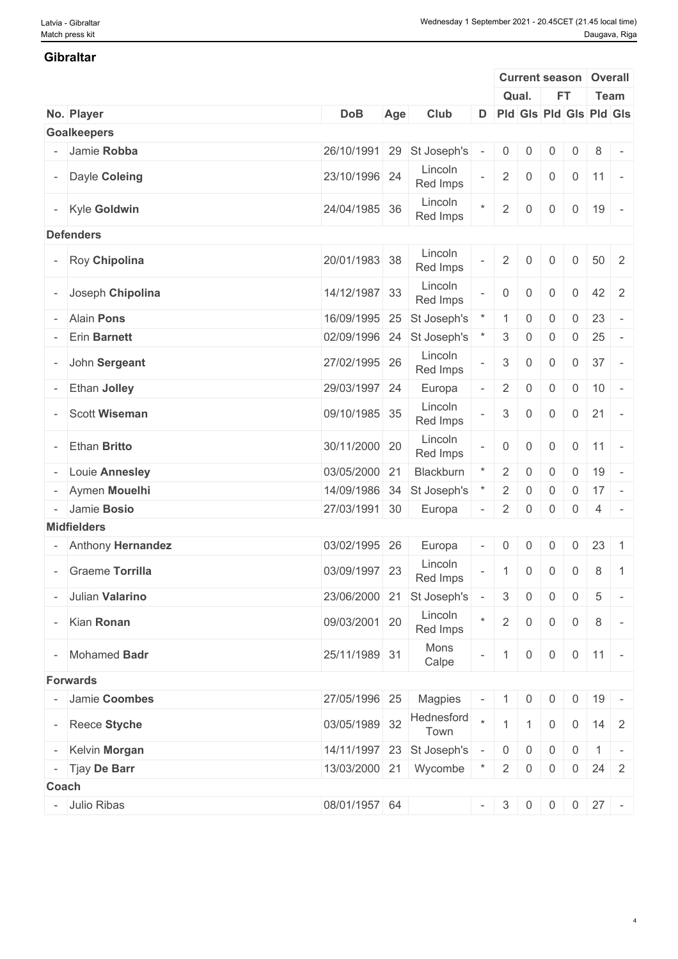#### **Gibraltar**

|                      |               |     |                             |                          |                           | <b>Current season</b> |                |                | Overall                        |  |
|----------------------|---------------|-----|-----------------------------|--------------------------|---------------------------|-----------------------|----------------|----------------|--------------------------------|--|
|                      |               |     |                             |                          |                           | Qual.                 | <b>FT</b>      |                | Team                           |  |
| No. Player           | <b>DoB</b>    | Age | Club                        |                          |                           |                       |                |                | D Pld Gls Pld Gls Pld Gls      |  |
| <b>Goalkeepers</b>   |               |     |                             |                          |                           |                       |                |                |                                |  |
| - Jamie Robba        |               |     | 26/10/1991 29 St Joseph's   |                          | $\overline{0}$            | 0                     | $\overline{0}$ | 0              | 8<br>$\sim$                    |  |
| - Dayle Coleing      | 23/10/1996 24 |     | Lincoln<br>Red Imps         |                          | $\overline{2}$            | $\overline{0}$        | $\mathbf 0$    |                | $0 \mid 11 \mid -$             |  |
| - Kyle Goldwin       | 24/04/1985 36 |     | Lincoln<br>Red Imps         |                          | $2^{\circ}$               | $\overline{0}$        | $\overline{0}$ | $\overline{0}$ | 19<br>$\sim$                   |  |
| <b>Defenders</b>     |               |     |                             |                          |                           |                       |                |                |                                |  |
| - Roy Chipolina      | 20/01/1983 38 |     | Lincoln<br>Red Imps         |                          | $\overline{2}$            | $\mathbf 0$           | 0              | $\overline{0}$ | $50 \quad 2$                   |  |
| - Joseph Chipolina   | 14/12/1987 33 |     | Lincoln<br>Red Imps         |                          | $\overline{0}$            | $\overline{0}$        | $\mathbf 0$    | $\overline{0}$ | 42 2                           |  |
| - Alain Pons         | 16/09/1995 25 |     | St Joseph's                 |                          |                           | $\overline{0}$        | 0              | 0              | 23<br>$\sim$                   |  |
| - Erin Barnett       | 02/09/1996 24 |     | St Joseph's                 |                          | $\mathbf{3}$              | $\overline{0}$        | $\overline{0}$ | $\overline{0}$ | 25                             |  |
| - John Sergeant      | 27/02/1995 26 |     | Lincoln<br>Red Imps         |                          | $\ensuremath{\mathsf{3}}$ | $\mathbf 0$           | $\mathbf 0$    | $\overline{0}$ | 37<br>$\sim$                   |  |
| - Ethan Jolley       | 29/03/1997 24 |     | Europa                      |                          | $\overline{2}$            | $\overline{0}$        | 0              | $\overline{0}$ | 10<br>$\overline{\phantom{a}}$ |  |
| <b>Scott Wiseman</b> | 09/10/1985 35 |     | Lincoln<br>Red Imps         |                          | $3\overline{3}$           | $\boldsymbol{0}$      | $\overline{0}$ | $\overline{0}$ | 21<br>$\overline{\phantom{a}}$ |  |
| <b>Ethan Britto</b>  | 30/11/2000 20 |     | Lincoln<br>Red Imps         |                          | $\overline{0}$            | $\overline{0}$        | $\mathbf 0$    | $\overline{0}$ | $ 11 $ -                       |  |
| - Louie Annesley     | 03/05/2000 21 |     | Blackburn                   |                          | $\overline{2}$            | $\mathbf 0$           | $\overline{0}$ | $\overline{0}$ | 19<br>$\overline{\phantom{a}}$ |  |
| - Aymen Mouelhi      | 14/09/1986 34 |     | St Joseph's                 |                          | $\overline{2}$            | $\overline{0}$        | 0              | 0              | $17 -$                         |  |
| - Jamie Bosio        | 27/03/1991 30 |     | Europa                      | $\overline{\phantom{a}}$ | $\overline{2}$            | 0                     | $\overline{0}$ | $\overline{0}$ | $4 -$                          |  |
| <b>Midfielders</b>   |               |     |                             |                          |                           |                       |                |                |                                |  |
|                      |               |     |                             |                          |                           |                       |                |                |                                |  |
| - Anthony Hernandez  | 03/02/1995 26 |     | Europa                      |                          | $\overline{0}$            | $\overline{0}$        | $\overline{0}$ | $\overline{0}$ | 23<br>$\overline{1}$           |  |
| - Graeme Torrilla    | 03/09/1997 23 |     | Lincoln<br>Red Imps         |                          | $\mathbf{1}$              | $\overline{0}$        | $\overline{0}$ | $\overline{0}$ | 8<br>$\overline{1}$            |  |
| - Julian Valarino    |               |     | 23/06/2000 21 St Joseph's   | $\sim$                   | 3                         | $\overline{0}$        | $\overline{0}$ | $\overline{0}$ | 5<br>$\sim$                    |  |
| - Kian Ronan         | 09/03/2001 20 |     | Lincoln<br>Red Imps         |                          | $2 \mid$                  | $\overline{0}$        | $\overline{0}$ | $\overline{0}$ | 8<br>$\sim$                    |  |
| - Mohamed Badr       | 25/11/1989 31 |     | Mons<br>Calpe               |                          | $\mathbf{1}$              | $\overline{0}$        | $\overline{0}$ |                | $0 \mid 11 \mid -$             |  |
| <b>Forwards</b>      |               |     |                             |                          |                           |                       |                |                |                                |  |
| - Jamie Coombes      | 27/05/1996 25 |     | Magpies                     |                          | $-1$ 0                    |                       | $\overline{0}$ | $\overline{0}$ | 19                             |  |
| - Reece Styche       | 03/05/1989 32 |     | Hednesford<br>Town          |                          |                           |                       | $\overline{0}$ |                | $0 \mid 14 \mid 2$             |  |
| - Kelvin Morgan      |               |     | 14/11/1997 23 St Joseph's - |                          |                           | $0 \mid 0$            | $\overline{0}$ |                | $0 \mid 1 \mid -$              |  |
| - Tjay De Barr       |               |     | 13/03/2000 21 Wycombe *     |                          |                           | $2 \mid 0$            | $\overline{0}$ |                | $0 \mid 24 \mid 2$             |  |
| Coach                |               |     |                             |                          |                           |                       |                |                |                                |  |
|                      |               |     |                             |                          |                           |                       |                |                |                                |  |
| - Julio Ribas        | 08/01/1957 64 |     |                             |                          |                           |                       |                |                | $-$ 3 0 0 0 27 -               |  |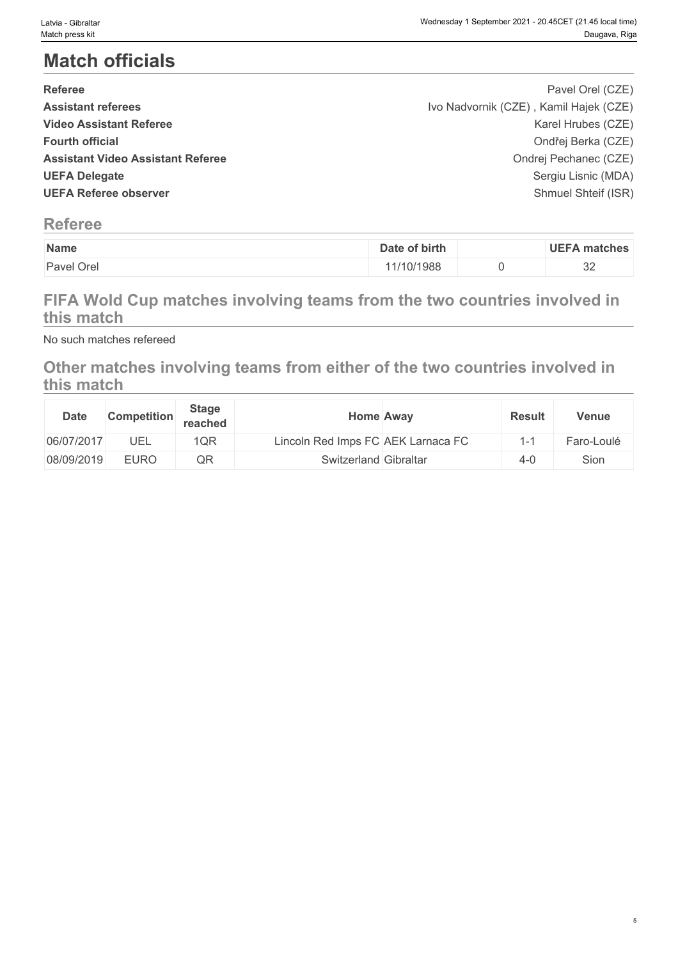# **Match officials**

| <b>Referee</b>                           | Pavel Orel (CZE)                       |  |
|------------------------------------------|----------------------------------------|--|
| <b>Assistant referees</b>                | Ivo Nadvornik (CZE), Kamil Hajek (CZE) |  |
| <b>Video Assistant Referee</b>           | Karel Hrubes (CZE)                     |  |
| <b>Fourth official</b>                   | Ondřej Berka (CZE)                     |  |
| <b>Assistant Video Assistant Referee</b> | Ondrej Pechanec (CZE)                  |  |
| <b>UEFA Delegate</b>                     | Sergiu Lisnic (MDA)                    |  |
| <b>UEFA Referee observer</b>             | Shmuel Shteif (ISR)                    |  |
|                                          |                                        |  |

### **Referee**

| Name                       | of birth<br>Date   | <b>UEFA</b><br>∖ matches |
|----------------------------|--------------------|--------------------------|
| <sup>1</sup> Orel<br>Paver | 1/10/1988<br>$  -$ | $\cap$<br>ັບ∠            |

### **FIFA Wold Cup matches involving teams from the two countries involved in this match**

No such matches refereed

### **Other matches involving teams from either of the two countries involved in this match**

| <b>Date</b> | Competition | <b>Stage</b><br>reached |                                    | <b>Home Away</b> | <b>Result</b> | <b>Venue</b> |
|-------------|-------------|-------------------------|------------------------------------|------------------|---------------|--------------|
| 06/07/2017  | <b>UEL</b>  | 1QR                     | Lincoln Red Imps FC AEK Larnaca FC |                  | . –           | Faro-Loulé   |
| 08/09/2019  | EURO        | QR                      | Switzerland Gibraltar              |                  | $4 - 0$       | Sion         |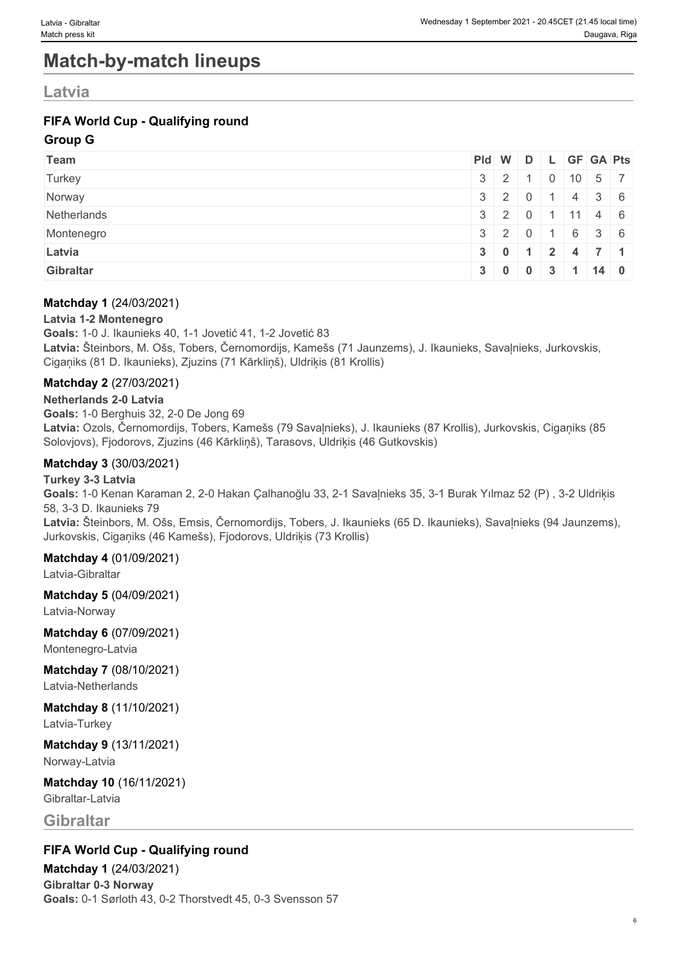# **Match-by-match lineups**

### **Latvia**

### **FIFA World Cup - Qualifying round**

#### **Group G**

| Team        | $ PId $ W $ D $ L $ GF GA Pts $ |                                                |  |                           |  |
|-------------|---------------------------------|------------------------------------------------|--|---------------------------|--|
| Turkey      |                                 | $3 \mid 2 \mid 1$                              |  | $0 \mid 10 \mid 5 \mid 7$ |  |
| Norway      |                                 | $3 \mid 2 \mid 0 \mid 1 \mid 4 \mid 3 \mid 6$  |  |                           |  |
| Netherlands |                                 | $3 \mid 2 \mid 0 \mid 1 \mid 11 \mid 4 \mid 6$ |  |                           |  |
| Montenegro  |                                 | $3 \mid 2 \mid 0 \mid 1 \mid 6 \mid 3 \mid 6$  |  |                           |  |
| Latvia      |                                 | $3 \mid 0 \mid 1 \mid 2 \mid 4 \mid 7 \mid 1$  |  |                           |  |
| Gibraltar   |                                 | $3 \mid 0 \mid 0 \mid 3 \mid 1 \mid 14 \mid 0$ |  |                           |  |

#### **Matchday 1** (24/03/2021)

#### **Latvia 1-2 Montenegro**

**Goals:** 1-0 J. Ikaunieks 40, 1-1 Jovetić 41, 1-2 Jovetić 83 **Latvia:** Šteinbors, M. Ošs, Tobers, Černomordijs, Kamešs (71 Jaunzems), J. Ikaunieks, Savaļnieks, Jurkovskis, Cigaņiks (81 D. Ikaunieks), Zjuzins (71 Kārkliņš), Uldriķis (81 Krollis)

#### **Matchday 2** (27/03/2021)

#### **Netherlands 2-0 Latvia**

**Goals:** 1-0 Berghuis 32, 2-0 De Jong 69 **Latvia:** Ozols, Černomordijs, Tobers, Kamešs (79 Savaļnieks), J. Ikaunieks (87 Krollis), Jurkovskis, Cigaņiks (85 Solovjovs), Fjodorovs, Zjuzins (46 Kārkliņš), Tarasovs, Uldriķis (46 Gutkovskis)

#### **Matchday 3** (30/03/2021)

#### **Turkey 3-3 Latvia**

**Goals:** 1-0 Kenan Karaman 2, 2-0 Hakan Çalhanoğlu 33, 2-1 Savaļnieks 35, 3-1 Burak Yılmaz 52 (P) , 3-2 Uldriķis 58, 3-3 D. Ikaunieks 79 **Latvia:** Šteinbors, M. Ošs, Emsis, Černomordijs, Tobers, J. Ikaunieks (65 D. Ikaunieks), Savaļnieks (94 Jaunzems), Jurkovskis, Cigaņiks (46 Kamešs), Fjodorovs, Uldriķis (73 Krollis)

#### **Matchday 4** (01/09/2021)

Latvia-Gibraltar

#### **Matchday 5** (04/09/2021)

Latvia-Norway

### **Matchday 6** (07/09/2021)

Montenegro-Latvia

#### **Matchday 7** (08/10/2021) Latvia-Netherlands

#### **Matchday 8** (11/10/2021) Latvia-Turkey

# **Matchday 9** (13/11/2021)

Norway-Latvia

#### **Matchday 10** (16/11/2021) Gibraltar-Latvia

**Gibraltar**

#### **FIFA World Cup - Qualifying round**

#### **Matchday 1** (24/03/2021)

**Gibraltar 0-3 Norway Goals:** 0-1 Sørloth 43, 0-2 Thorstvedt 45, 0-3 Svensson 57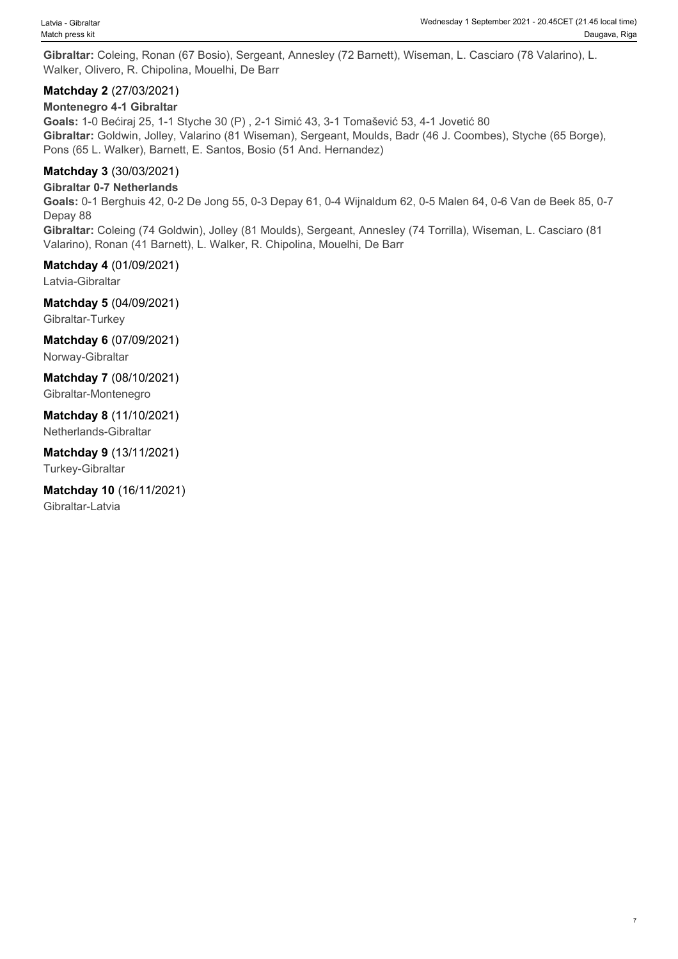**Gibraltar:** Coleing, Ronan (67 Bosio), Sergeant, Annesley (72 Barnett), Wiseman, L. Casciaro (78 Valarino), L. Walker, Olivero, R. Chipolina, Mouelhi, De Barr

#### **Matchday 2** (27/03/2021)

#### **Montenegro 4-1 Gibraltar**

**Goals:** 1-0 Bećiraj 25, 1-1 Styche 30 (P) , 2-1 Simić 43, 3-1 Tomašević 53, 4-1 Jovetić 80 **Gibraltar:** Goldwin, Jolley, Valarino (81 Wiseman), Sergeant, Moulds, Badr (46 J. Coombes), Styche (65 Borge), Pons (65 L. Walker), Barnett, E. Santos, Bosio (51 And. Hernandez)

#### **Matchday 3** (30/03/2021)

**Gibraltar 0-7 Netherlands**

**Goals:** 0-1 Berghuis 42, 0-2 De Jong 55, 0-3 Depay 61, 0-4 Wijnaldum 62, 0-5 Malen 64, 0-6 Van de Beek 85, 0-7 Depay 88

**Gibraltar:** Coleing (74 Goldwin), Jolley (81 Moulds), Sergeant, Annesley (74 Torrilla), Wiseman, L. Casciaro (81 Valarino), Ronan (41 Barnett), L. Walker, R. Chipolina, Mouelhi, De Barr

**Matchday 4** (01/09/2021)

Latvia-Gibraltar

**Matchday 5** (04/09/2021) Gibraltar-Turkey

**Matchday 6** (07/09/2021) Norway-Gibraltar

**Matchday 7** (08/10/2021) Gibraltar-Montenegro

**Matchday 8** (11/10/2021) Netherlands-Gibraltar

**Matchday 9** (13/11/2021) Turkey-Gibraltar

**Matchday 10** (16/11/2021) Gibraltar-Latvia